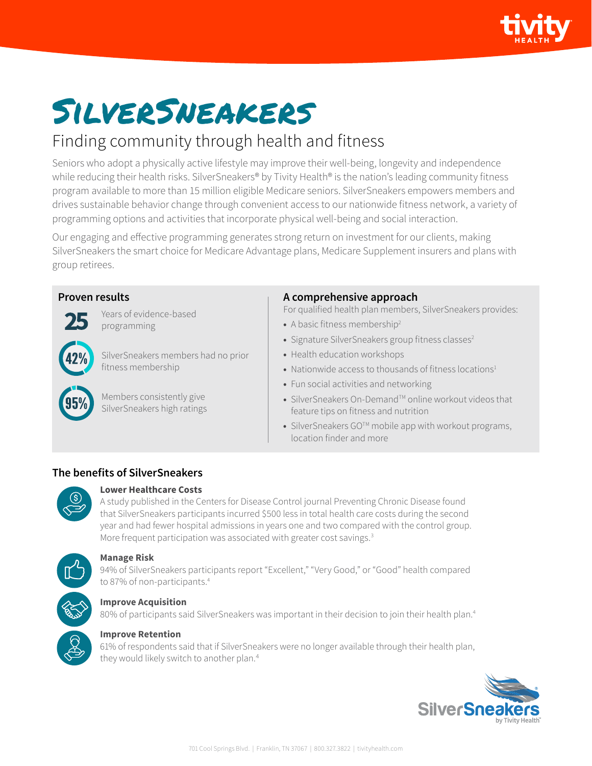

# SilverSneakers

## Finding community through health and fitness

Seniors who adopt a physically active lifestyle may improve their well-being, longevity and independence while reducing their health risks. SilverSneakers® by Tivity Health® is the nation's leading community fitness program available to more than 15 million eligible Medicare seniors. SilverSneakers empowers members and drives sustainable behavior change through convenient access to our nationwide fitness network, a variety of programming options and activities that incorporate physical well-being and social interaction.

Our engaging and effective programming generates strong return on investment for our clients, making SilverSneakers the smart choice for Medicare Advantage plans, Medicare Supplement insurers and plans with group retirees.

#### **Proven results**



Years of evidence-based programming

SilverSneakers members had no prior fitness membership

Members consistently give SilverSneakers high ratings

#### **A comprehensive approach**

For qualified health plan members, SilverSneakers provides:

- **•** A basic fitness membership<sup>2</sup>
- Signature SilverSneakers group fitness classes<sup>2</sup>
- **•** Health education workshops
- Nationwide access to thousands of fitness locations<sup>1</sup>
- **•** Fun social activities and networking
- SilverSneakers On-Demand<sup>™</sup> online workout videos that feature tips on fitness and nutrition
- **•** SilverSneakers GOTM mobile app with workout programs, location finder and more

#### **The benefits of SilverSneakers**



#### **Lower Healthcare Costs**

A study published in the Centers for Disease Control journal Preventing Chronic Disease found that SilverSneakers participants incurred \$500 less in total health care costs during the second year and had fewer hospital admissions in years one and two compared with the control group. More frequent participation was associated with greater cost savings.<sup>3</sup>



#### **Manage Risk**

94% of SilverSneakers participants report "Excellent," "Very Good," or "Good" health compared to 87% of non-participants.<sup>4</sup>

### **Improve Acquisition**

80% of participants said SilverSneakers was important in their decision to join their health plan.<sup>4</sup>



#### **Improve Retention**

61% of respondents said that if SilverSneakers were no longer available through their health plan, they would likely switch to another plan.<sup>4</sup>